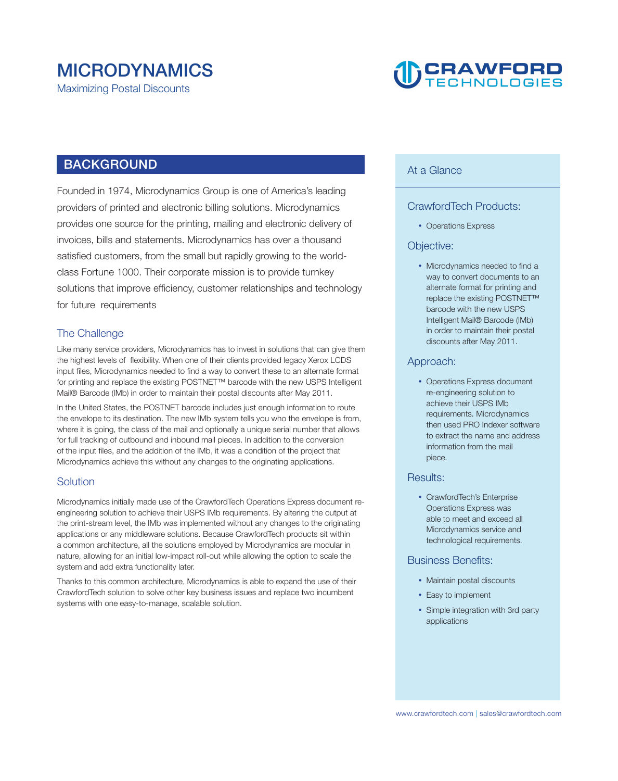# **MICRODYNAMICS**

**Maximizing Postal Discounts** 

# **DERAWFORD**

### **BACKGROUND**

**Founded in 1974, Microdynamics Group is one of America's leading providers of printed and electronic billing solutions. Microdynamics provides one source for the printing, mailing and electronic delivery of invoices, bills and statements. Microdynamics has over a thousand satisfied customers, from the small but rapidly growing to the worldclass Fortune 1000. Their corporate mission is to provide turnkey solutions that improve efficiency, customer relationships and technology for future requirements** 

### **The Challenge**

**Like many service providers, Microdynamics has to invest in solutions that can give them the highest levels of flexibility. When one of their clients provided legacy Xerox LCDS input files, Microdynamics needed to find a way to convert these to an alternate format for printing and replace the existing POSTNET™ barcode with the new USPS Intelligent Mail® Barcode (IMb) in order to maintain their postal discounts after May 2011.** 

**In the United States, the POSTNET barcode includes just enough information to route the envelope to its destination. The new IMb system tells you who the envelope is from, where it is going, the class of the mail and optionally a unique serial number that allows for full tracking of outbound and inbound mail pieces. In addition to the conversion of the input files, and the addition of the IMb, it was a condition of the project that Microdynamics achieve this without any changes to the originating applications.** 

#### **Solution**

**Microdynamics initially made use of the CrawfordTech Operations Express document reengineering solution to achieve their USPS IMb requirements. By altering the output at the print-stream level, the IMb was implemented without any changes to the originating applications or any middleware solutions. Because CrawfordTech products sit within a common architecture, all the solutions employed by Microdynamics are modular in nature, allowing for an initial low-impact roll-out while allowing the option to scale the system and add extra functionality later.** 

**Thanks to this common architecture, Microdynamics is able to expand the use of their CrawfordTech solution to solve other key business issues and replace two incumbent systems with one easy-to-manage, scalable solution.** 

#### **At a Glance**

#### **CrawfordTech Products:**

**• Operations Express** 

#### **Objective:**

• Microdynamics needed to find a **way to convert documents to an alternate format for printing and replace the existing POSTNET™ barcode with the new USPS Intelligent Mail® Barcode (IMb) in order to maintain their postal discounts after May 2011.**

#### **Approach:**

• Operations Express document **re-engineering solution to achieve their USPS IMb requirements. Microdynamics then used PRO Indexer software to extract the name and address information from the mail piece.**

#### **Results:**

**• CrawfordTech's Enterprise Operations Express was able to meet and exceed all Microdynamics service and technological requirements.**

#### **Business Benefits:**

- Maintain postal discounts
- Easy to implement
- **Simple integration with 3rd party applications**